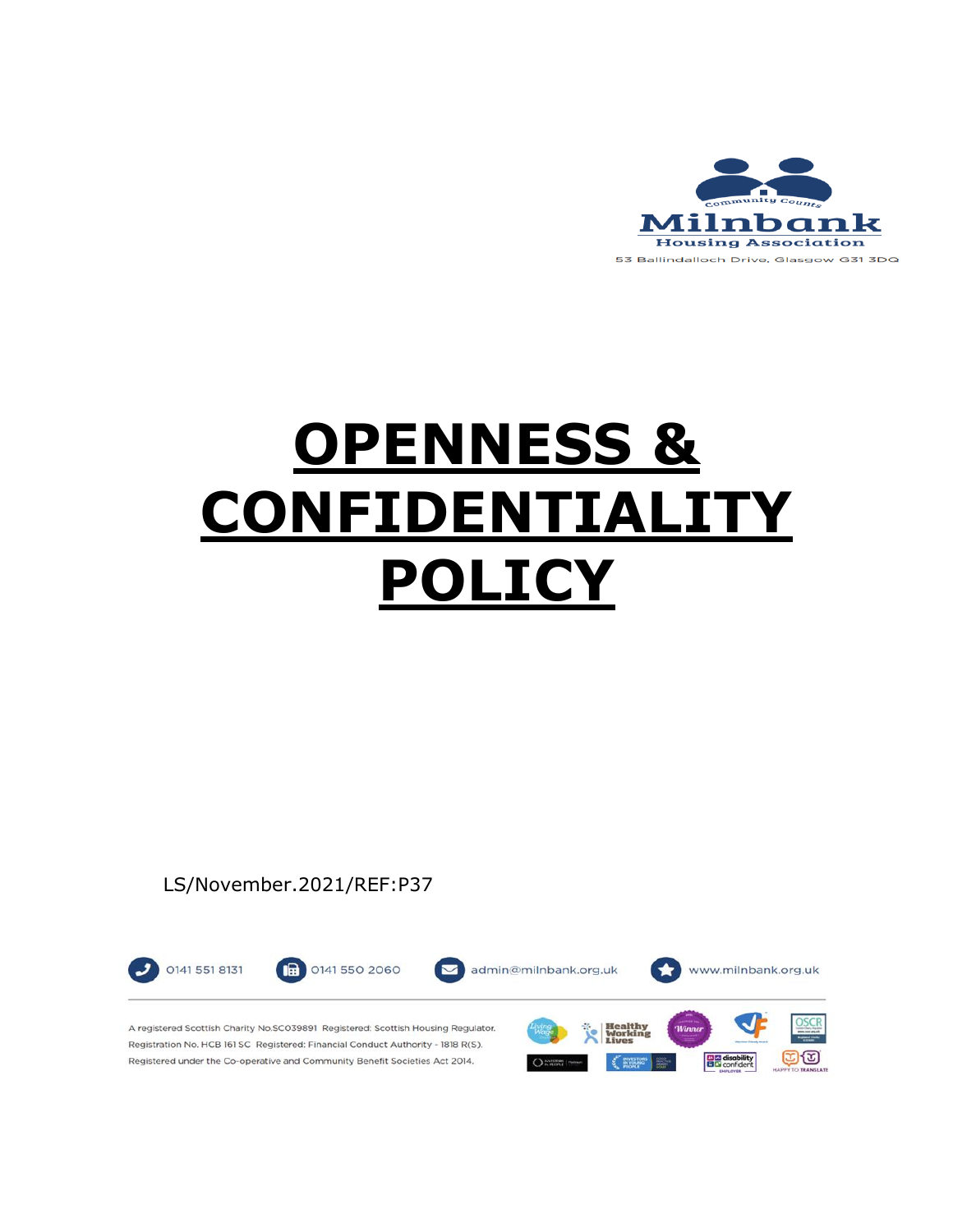

# **OPENNESS & CONFIDENTIALITY POLICY**

#### LS/November.2021/REF:P37

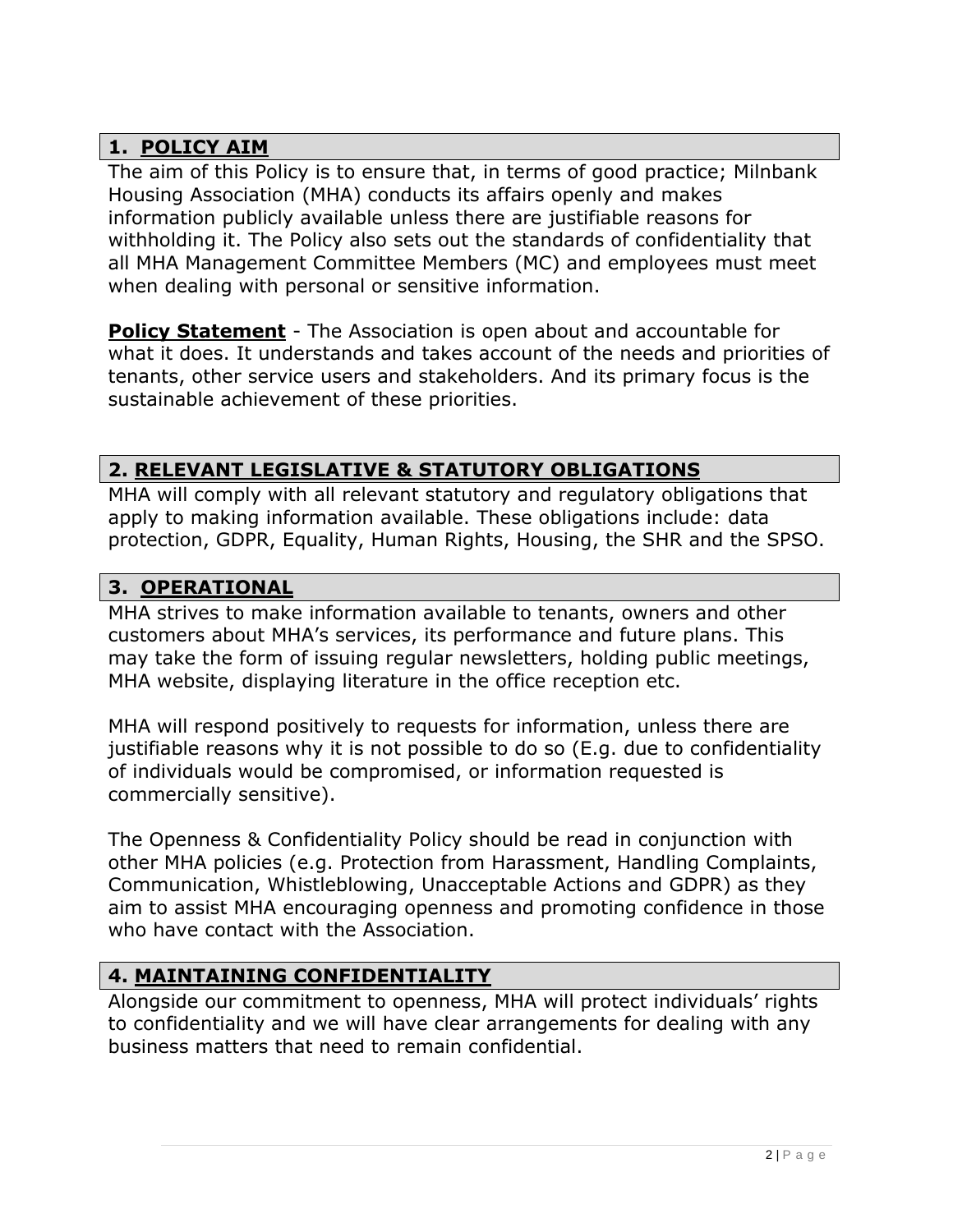## **1. POLICY AIM**

The aim of this Policy is to ensure that, in terms of good practice; Milnbank Housing Association (MHA) conducts its affairs openly and makes information publicly available unless there are justifiable reasons for withholding it. The Policy also sets out the standards of confidentiality that all MHA Management Committee Members (MC) and employees must meet when dealing with personal or sensitive information.

**Policy Statement** - The Association is open about and accountable for what it does. It understands and takes account of the needs and priorities of tenants, other service users and stakeholders. And its primary focus is the sustainable achievement of these priorities.

# **2. RELEVANT LEGISLATIVE & STATUTORY OBLIGATIONS**

MHA will comply with all relevant statutory and regulatory obligations that apply to making information available. These obligations include: data protection, GDPR, Equality, Human Rights, Housing, the SHR and the SPSO.

### **3. OPERATIONAL**

MHA strives to make information available to tenants, owners and other customers about MHA's services, its performance and future plans. This may take the form of issuing regular newsletters, holding public meetings, MHA website, displaying literature in the office reception etc.

MHA will respond positively to requests for information, unless there are justifiable reasons why it is not possible to do so (E.g. due to confidentiality of individuals would be compromised, or information requested is commercially sensitive).

The Openness & Confidentiality Policy should be read in conjunction with other MHA policies (e.g. Protection from Harassment, Handling Complaints, Communication, Whistleblowing, Unacceptable Actions and GDPR) as they aim to assist MHA encouraging openness and promoting confidence in those who have contact with the Association.

## **4. MAINTAINING CONFIDENTIALITY**

Alongside our commitment to openness, MHA will protect individuals' rights to confidentiality and we will have clear arrangements for dealing with any business matters that need to remain confidential.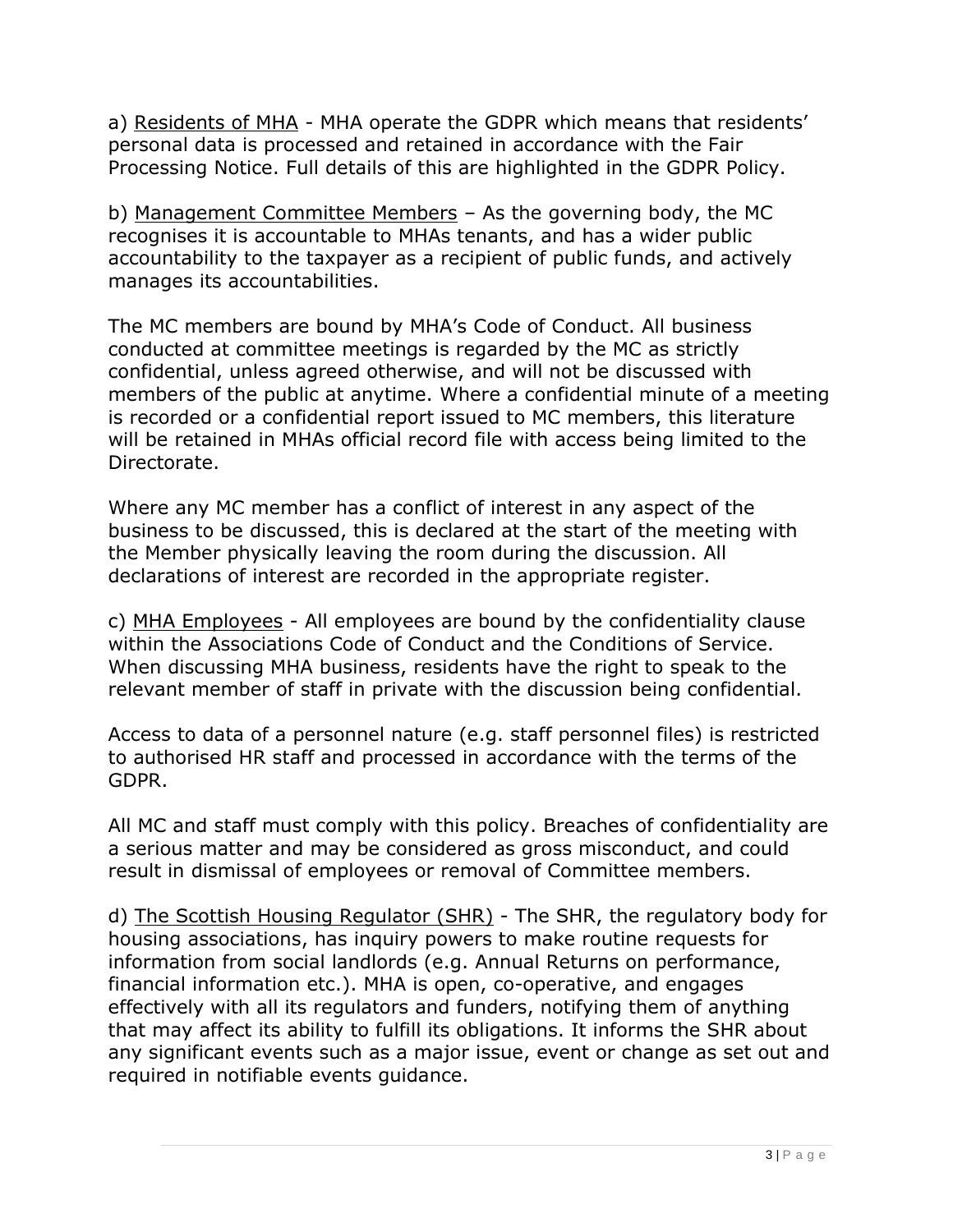a) Residents of MHA - MHA operate the GDPR which means that residents' personal data is processed and retained in accordance with the Fair Processing Notice. Full details of this are highlighted in the GDPR Policy.

b) Management Committee Members – As the governing body, the MC recognises it is accountable to MHAs tenants, and has a wider public accountability to the taxpayer as a recipient of public funds, and actively manages its accountabilities.

The MC members are bound by MHA's Code of Conduct. All business conducted at committee meetings is regarded by the MC as strictly confidential, unless agreed otherwise, and will not be discussed with members of the public at anytime. Where a confidential minute of a meeting is recorded or a confidential report issued to MC members, this literature will be retained in MHAs official record file with access being limited to the Directorate.

Where any MC member has a conflict of interest in any aspect of the business to be discussed, this is declared at the start of the meeting with the Member physically leaving the room during the discussion. All declarations of interest are recorded in the appropriate register.

c) MHA Employees - All employees are bound by the confidentiality clause within the Associations Code of Conduct and the Conditions of Service. When discussing MHA business, residents have the right to speak to the relevant member of staff in private with the discussion being confidential.

Access to data of a personnel nature (e.g. staff personnel files) is restricted to authorised HR staff and processed in accordance with the terms of the GDPR.

All MC and staff must comply with this policy. Breaches of confidentiality are a serious matter and may be considered as gross misconduct, and could result in dismissal of employees or removal of Committee members.

d) The Scottish Housing Regulator (SHR) - The SHR, the regulatory body for housing associations, has inquiry powers to make routine requests for information from social landlords (e.g. Annual Returns on performance, financial information etc.). MHA is open, co-operative, and engages effectively with all its regulators and funders, notifying them of anything that may affect its ability to fulfill its obligations. It informs the SHR about any significant events such as a major issue, event or change as set out and required in notifiable events guidance.